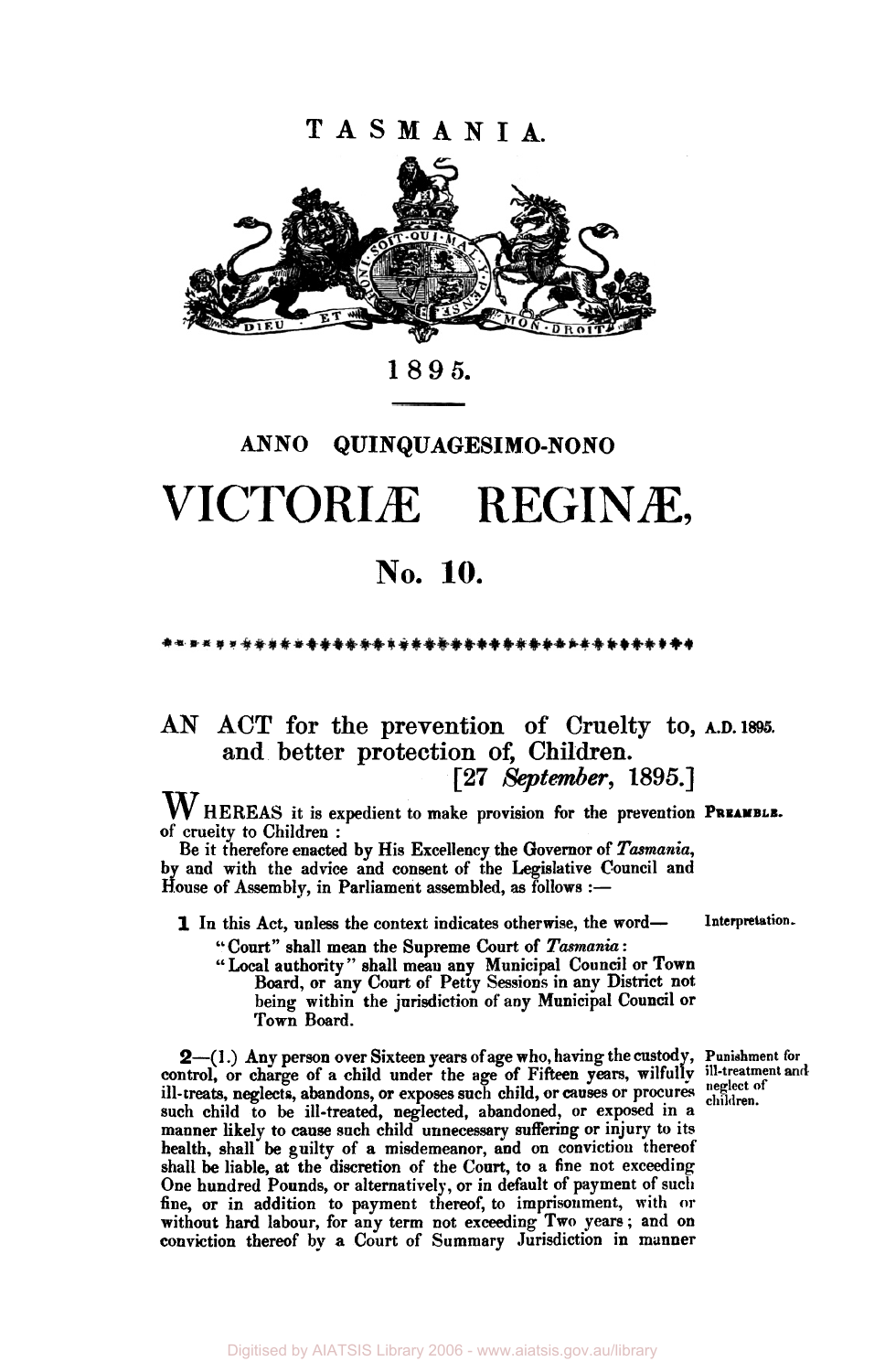**T A S M A N I A.** 



**1895.** 

## **ANN0 QUINQUAGESIMO-NONO**

# VICTORIÆ REGINÆ,

# **No. 10.**

\*\*\*\*\*\*\*\*\*\*\*\*\*\*\*\*\*\*\*\*\*\*\*\*\*\*

#### AN ACT **for** the prevention of Cruelty to, **and** better protection **of, Children. [27** *September,* **1895.) A.D. 1895.**

W HEREAS it is expedient to make provision for the prevention PREAMBLE.<br>of cruelty to Children :

Be it therefore enacted by His Excellency the Governor of *Tasmania,*  by and with the advice and consent of the Legislative Council and House of Assembly, in Parliament assembled, as follows :-

**1** In this Act, unless the context indicates otherwise, the word-

" Court" shall mean the Supreme Court of *Tasmania* :

" Local authority" shall mean any Municipal Council or Town Board, or any Court of Petty Sessions in any District not being within the jurisdiction of any Municipal Council or **Town** Board.

**2-( 1** .) Any person over Sixteen **years** of age who, having the custody, **Punishment** for control, or charge of a child under the age of Fifteen years, wilfully ill-treatment and ill-treats, neglects, abandons, or exposes such child, or causes or procures such child to be ill-treated, neglected, abandoned, or exposed in **a**  manner likely **to cause** such child unnecessary suffering or injury **to** its health, shall **be** guilty of **a** misdemeanor, and on conviction thereof shall be liable, at the discretion of the Court, to a fine not exceeding One hundred Pounds, or alternatively, or in default of payment of such fine, or in addition **to** payment thereof, to imprisonment, with or without hard labour, for any term not exceeding Two years; and on conviction thereof by **a** Court of Summary Jurisdiction in manner

**Interpretation-**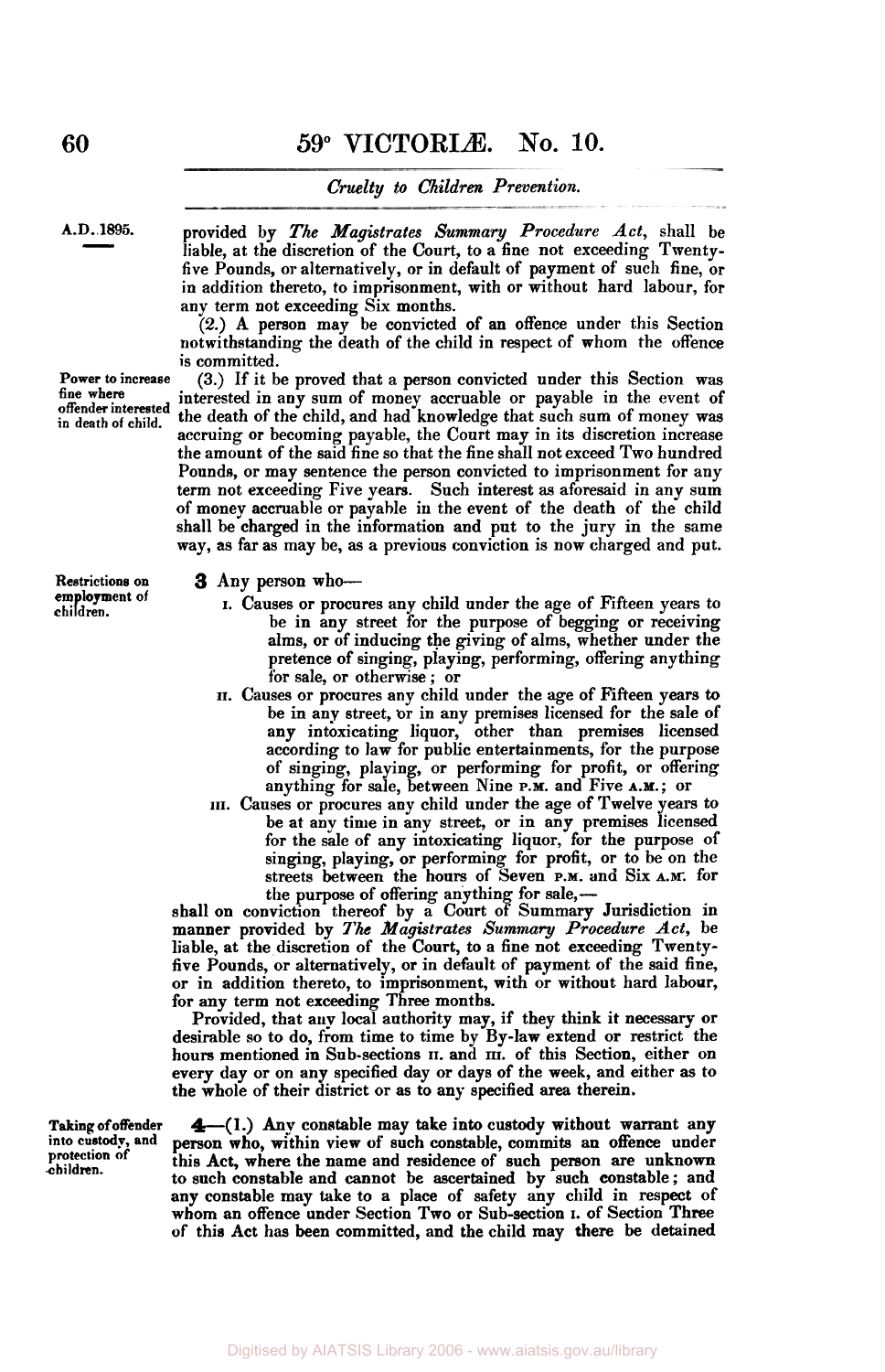#### *Cruelty to Children Prevention.*

**A.D..1895.** provided by *The Magistrates Summary Procedure Act,* shall be liable, at the discretion of the Court, to a fine not exceeding Twentyfive Pounds, or alternatively, or in default of payment of such fine, or in addition thereto, to imprisonment, with or without hard labour, for any term not exceeding Six months.

(2.) A person may be convicted of **an** offence under this Section notwithstanding the death of the child in respect of whom the offence is committed.

(3.) If it be proved that a **person** convicted under this Section was interested in any sum of money accruable or payable in the event of the death of the child, and had knowledge that such sum of money was accruing or becoming payable, the Court may in its discretion increase the amount of the said fine so that the fine shall not exceed Two hundred Pounds, or may sentence the person convicted to imprisonment for any term not exceeding Five years. Such interest **as** aforesaid in any sum of money accruable or payable in the event of the death of the child shall be charged in the information and put to the jury in the same way, *as* far as may be, **as** a previous conviction is now charged and put.

#### **3** Any person who-

- I. Causes or procures any child under the age of Fifteen years to be in any street for the purpose of begging or receiving alms, or of inducing the giving of alms, whether under the pretence of singing, playing, performing, offering any thing for sale, or otherwise ; or
- **II.** Causes or procures any child under the age of Fifteen years to be in any street, **'or** in any premises licensed for the sale of any intoxicating liquor, other than premises licensed according to law for public entertainments, for the purpose of singing, playing, or performing for profit, or offering anything for sale, between Nine **P.M.** and Five **A.M.;** or
- **III.** Causes **or** procures any child under the age of Twelve years to be at any time in any street, or in any premises licensed for the sale of any intoxicating liquor, for the purpose *of*  singing, playing, or performing for profit, or to be on the streets between the hours of Seven **P.M.** and Six **A.M.** for the purpose of offering anything for sale,-

shall **on** conviction thereof by a Court of Summary Jurisdiction in manner provided by *The Magistrates Summary Procedure Act,* be liable, at the discretion of the Court, to a fine not exceeding Twentyfive Pounds, or alternatively, or in default of payment of the said fine, or in addition thereto, **to** imprisonment, with or without hard labour, for any term not exceeding Three months.

Provided, that any local authority may, if they think it necessary or desirable so to do, from time to time by By-law extend or restrict the hours mentioned in Sub-sections **II.** and **III.** of this Section, either on every day or on any specified day or days of the week, and either as to the whole of their district or as to any specified area therein.

Taking of offender  $\triangleq$  (1.) Any constable may take into custody without warrant any into custody, and person who, within view of such constable, commits an offence under **into** *custody,* **and** person who, within view of such constable, **commits** an offence under protection of this Act, where the name and residence of such person are unknown to such constable and cannot be ascertained by such constable; and any constable may take to a place of safety any child in respect of whom an offence under Section Two or Sub-section I. *of* Section **Three**  of this Act has been committed, and the child may there be detained

 $\frac{1895}{\cdot}$ 

**Power to increase fine where offender interested in death of child.** 

**Restrictions on em loyment of chi dren.**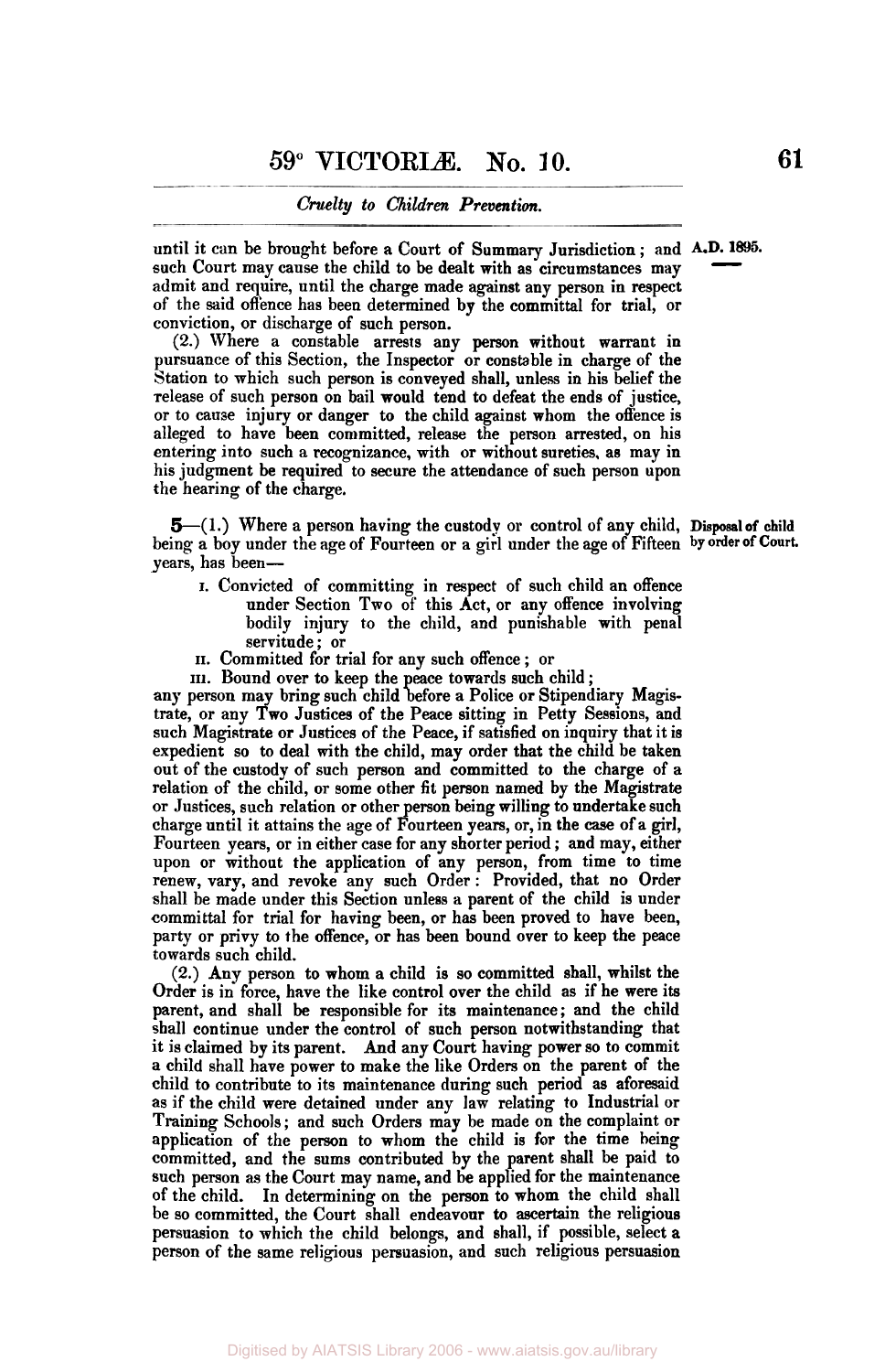#### *Cruelty to Children Prevention.*

until it can be brought before **a** Court of Summary Jurisdiction ; and **A-D. 1895.**  such Court may cause the child to be dealt with as circumstances may admit and require, until the charge made against any person in respect of the said offence has been determined by the committal for trial, or conviction, or discharge of such person.  $-$  1895.

**(2.)** Where a constable arrests any person without warrant in pursuance of this Section, the Inspector or constable in charge of the Station to which such person is conveyed shall, unless in his belief the release of such person on bail would tend to defeat the ends of justice, or to cause injury or danger to the child against whom the offence is alleged to have been committed, release the person arrested, on his entering into such a recognizance, with or without sureties, as may in his judgment be required to secure the attendance of such person upon the hearing of the charge.

5-(1.) Where a person having the custody or control of any child, **Disposal of** child being a boy under the age of Fourteen or a girl under the age of Fifteen **by order of Court**  years, has been-

- I. Convicted of committing in respect of such child an offence under Section **Two** of' this Act, or any offence involving bodily injury to the child, and punishable with penal servitude ; or
- **II.** Committed for trial for any such offence ; or
- III. Bound over to keep the peace towards such child ;

any person may bring such child before a Police or Stipendiary Magistrate, or any Two Justices of the Peace sitting in Petty Sessions, and such Magistrate or Justices of the Peace, if satisfied on inquiry that it is expedient so to deal with the child, may order that the child be taken out of the custody of such person and committed to the charge of a relation of the child, or some other fit person named by the Magistrate or Justices, such relation or other person being willing to undertake such charge until it attains the age of Fourteen **years,** or, in the *case* of a girl, Fourteen years, or in either case for any shorter period ; and may, either upon or without the application of any person, from time to time renew, vary, and revoke any such Order : Provided, that no Order shall be made under this Section unless **a** parent of the child is under committal for trial for having been, or has been proved to have been, party or privy to the offence, or has been bound over to keep the peace towards such child.

**(2.)** Any person to whom **a** child is **so** committed shall, whilst the Order is in force, have the like control over the child **as** if he were its parent, and shall be responsible for its maintenance; and the child shall continue under the control of such person notwithstanding that it is claimed by its parent. And any Court having power so to commit a child shall have power to make the like Orders on the parent of the child to contribute to its maintenance during such period as aforesaid as if the child were detained under any law relating to Industrial or Training Schools ; and such Orders may be made on the complaint or application of the person **to** whom the child is for the time being committed, and the sums contributed by the parent shall be paid to such person **as** the Court may name, and be applied for the maintenance of the child. In determining on the person to whom the child shall be so committed, the Court shall endeavour to ascertain the religious persuasion to which the child belongs, and shall, if possible, select **a**  person of the same religious persuasion, and such religious persuasion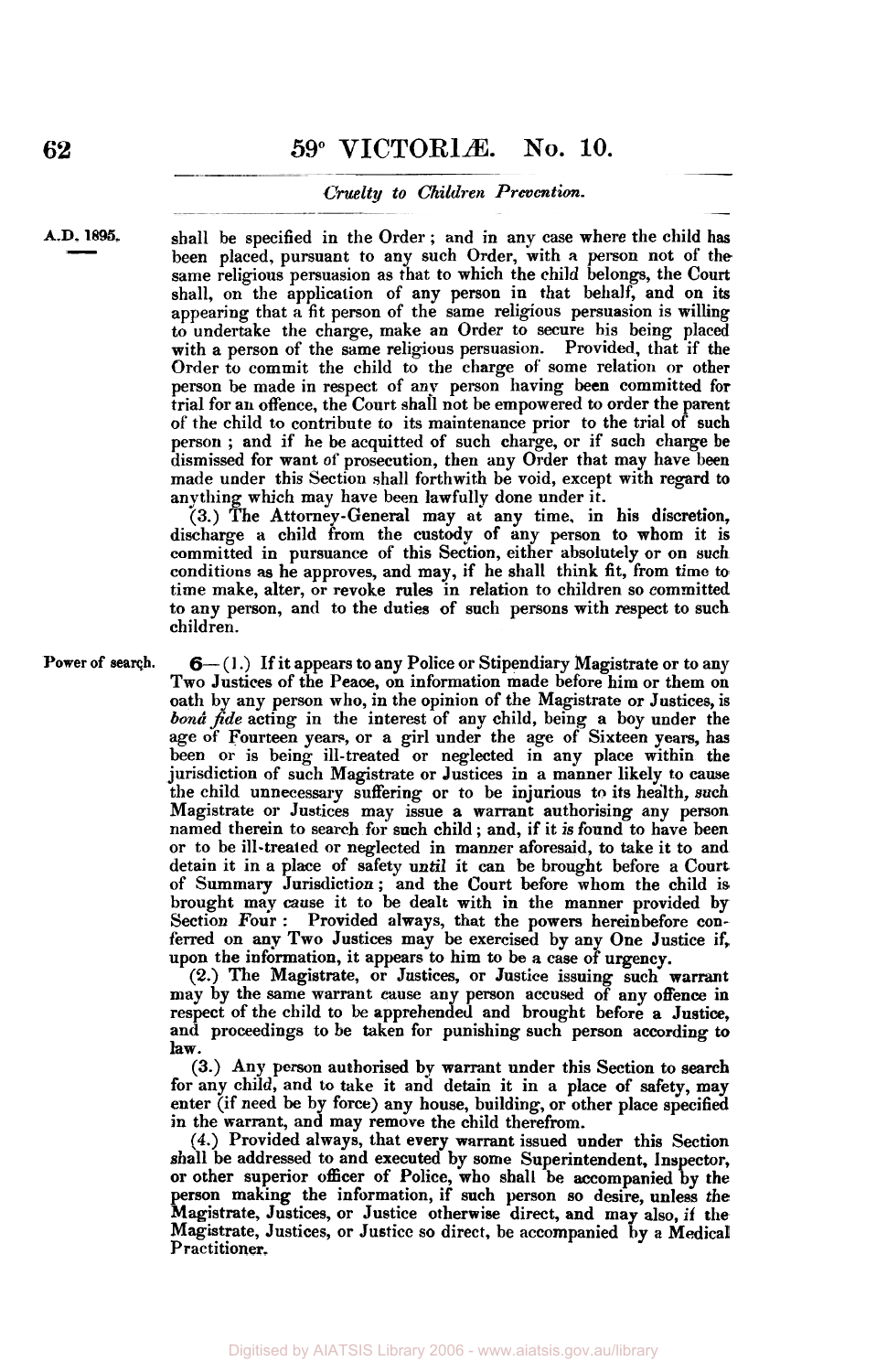#### *Cruelty to Children Prevention.*

**A.D. 1895.**   $\frac{1895.}{\frac{1}{2}}$ 

shall be specified in the Order ; and in any case where the child has been placed, pursuant to any such Order, with **a** person not of the same religious persuasion as that to which the child belongs, the Court shall, on the application of any person in that behalf, and on its appearing that a fit person of the same religious persuasion is willing to undertake the charge, make an Order to secure his being placed with a person of the same religious persuasion. Provided, that if the Order to commit the child to the charge of some relation or other person be made in respect of any person having **been** committed for trial for an offence, the Court shall not be empowered to order the parent of the child to contribute to its maintenance prior to the trial of such person ; and if he be acquitted of such charge, or if such charge be dismissed for want of prosecution, then any Order that may have been made under this Section shall forthwith be void, except with regard to anything which may have been lawfully done under it.

**(3.)** The Attorney-General may at any time. in his discretion, discharge a child from the custody of any person to whom it is committed in pursuance of this Section, either absolutely or on such conditions **as** he approves, and may, if he shall think fit, from time to time make, alter, or revoke rules in relation to children so committed to any person, and to the duties **of** such persons with respect to such children.

**Power of search. 6-** (1.) If it appears to any Police or Stipendiary Magistrate or to any Two Justices of the Peace, on information made before him or them on oath by any person **who,** in the opinion of the Magistrate or Justices, is *bona fide* acting in the interest of any child, being a boy under the age of Fourteen years, or a girl under the age of Sixteen years, has been or is being ill-treated or neglected in any place within the jurisdiction of such Magistrate or Justices in a manner likely to cause the child unnecessary suffering or to be injurious to its health, such Magistrate or Justices may issue **a** warrant authorising any person named therein to search for such child ; and, if it is found to have been or to be ill-treated or neglected in manner aforesaid, to take it to and detain it in a place of safety until it can be brought before a Court of Summary Jurisdiction; and the Court before whom the child is brought may cause it to be dealt with in the manner provided by Section Four : Provided always, that the powers hereinbefore conferred on any Two Justices may be exercised by any One Justice if, upon the information, it appears to him to be **a** case of urgency.

**(2.)** The Magistrate, or Justices, or Justice issuing such **warrant**  may by the same warrant cause any person accused of any offence in respect of the child to be apprehended and brought before a Justice, and proceedings to be taken for punishing such person according **to**  law.

**(3.)** Any person authorised by warrant under this Section to **search**  for any child, and to take it and detain it in a place of safety, may enter (if need be by force) any house, building, or other place specified in the warrant, and may remove the child therefrom.

**(4.)** Provided always, that every warrant issued under this Section shall be addressed to and executed by some Superintendent, Inspector, or other superior officer of Police, who shall be accompanied by the person making the information, if such person **so** desire, unless the Magistrate, Justices, or Justice otherwise direct, and may also, if the Magistrate, Justices, or Justice so direct, be accompanied by a Medical Practitioner.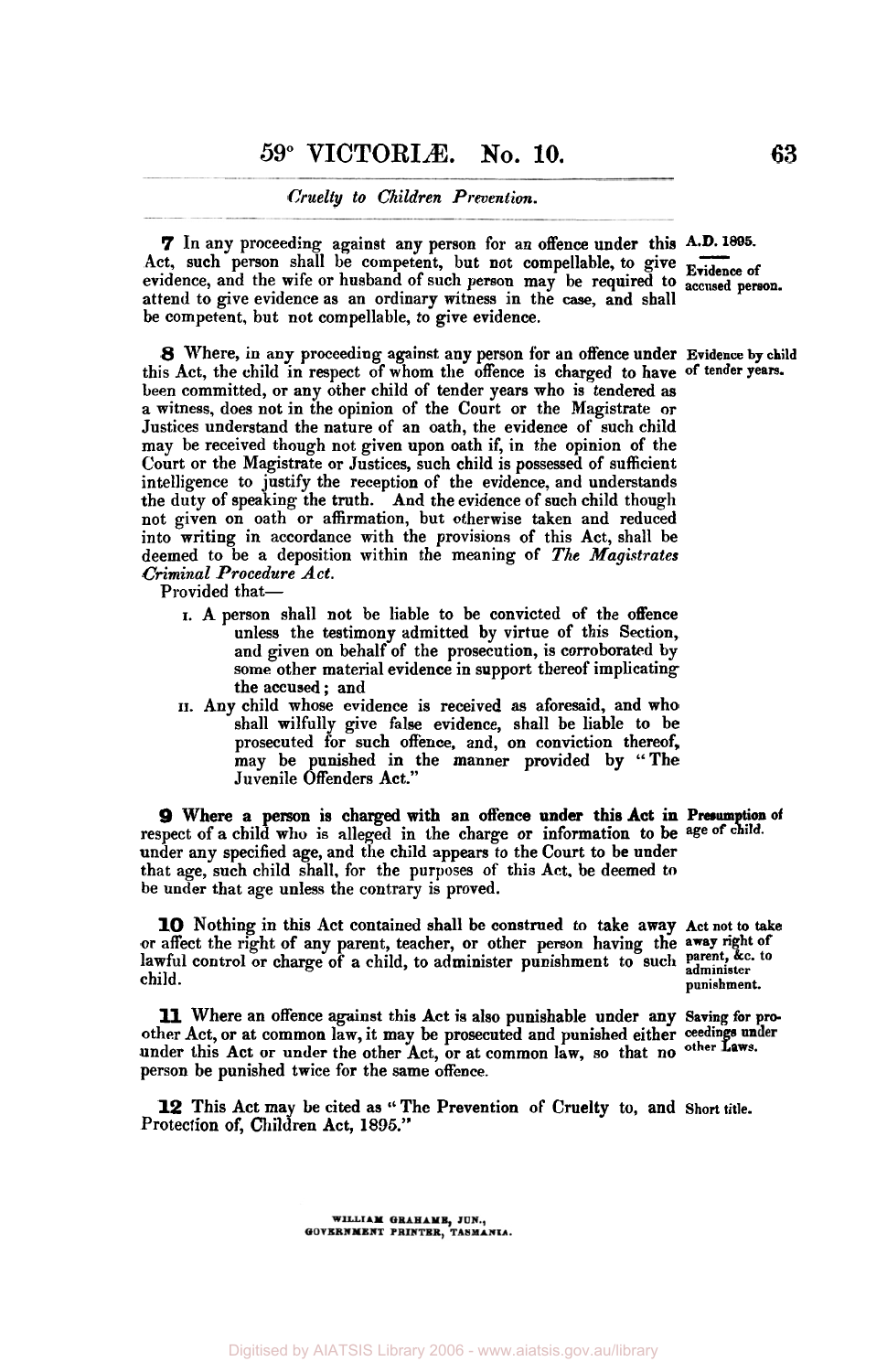### **59° VICTORIAE. No. 10. 63**

#### *Cruelty to Children Prevention.*

*7* In any proceeding against any person for an offence under this **A-D.1895-**  Cruelty to Children Prevention.<br>
7 In any proceeding against any person for an offence under this A.D. 1895.<br>
Act, such person shall be competent, but not compellable, to give **Evidence** of<br>
period and the wife or husband evidence, and the wife or husband of such person may be required to **accused person.**  attend to give evidence as an ordinary witness in the *case,* and shall be competent, but not compellable, to give evidence.

*8* Where, in any proceeding against any person for an offence under **Evidence by child**  this Act, the child in respect of whom the offence is charged to have **of tender years.**  been committed, or any other child of tender years who is tendered **as**  a witness, does not in the opinion of the Court or the Magistrate or Justices understand the nature of an oath, the evidence of such child may be received though not given upon oath if, in the opinion of the Court or the Magistrate or Justices, such child is possessed of sufficient intelligence to justify the reception of the evidence, and understands the duty of speaking the truth. And the evidence of such child though not given on oath or affirmation, but otherwise taken and reduced into writing in accordance with the provisions of this Act, shall be deemed to be a deposition within the meaning of *The Magistrates Criminal .Procedure Act.* 

Provided that-

- I. A person shall not be liable to be convicted of the offence unless the testimony admitted by virtue of this Section, and given on behalf of the prosecution, is corroborated by some other material evidence in support thereof implicating the accused ; and
- **II.** Any child whose evidence is received as aforesaid, and who shall wilfully give false evidence, shall be liable to be prosecuted for such offence, and, on conviction thereof, may be punished in the manner provided by "The Juvenile Offenders Act."

**9** Where a person is charged with an offence under this Act in Presumption of respect of a child who is alleged in the charge or information to be age of child. under any specified age, and the child appears to the Court to be under that age, such child shall, for the purposes of this Act, be deemed to be under that age unless the contrary is proved.

**10** Nothing in this Act contained shall be construed to take away **Act** not **to take**  or affect the right of any parent, teacher, or other person having the **away right of**  lawful control or charge of a child, to administer punishment to such parent, &c. to child. child. **punishment. punishment.** 

other Act, or at common law, it may be prosecuted and punished either ceedings under under this Act or under the other Act, or at common law, so that no other Laws. person be punished twice for the same offence. **11** Where an offence against this Act is also punishable under any **Saving** for pro-

Protection of, Children Act, 1895." **12** This Act may be cited as '' The Prevention of Cruelty to, and Short **title.** 

> WILLIAM GRAHAME, JUN., GOVERNMENT PRINTER, TASMANIA.

Digitised by AIATSIS Library 2006 - www.aiatsis.gov.au/library